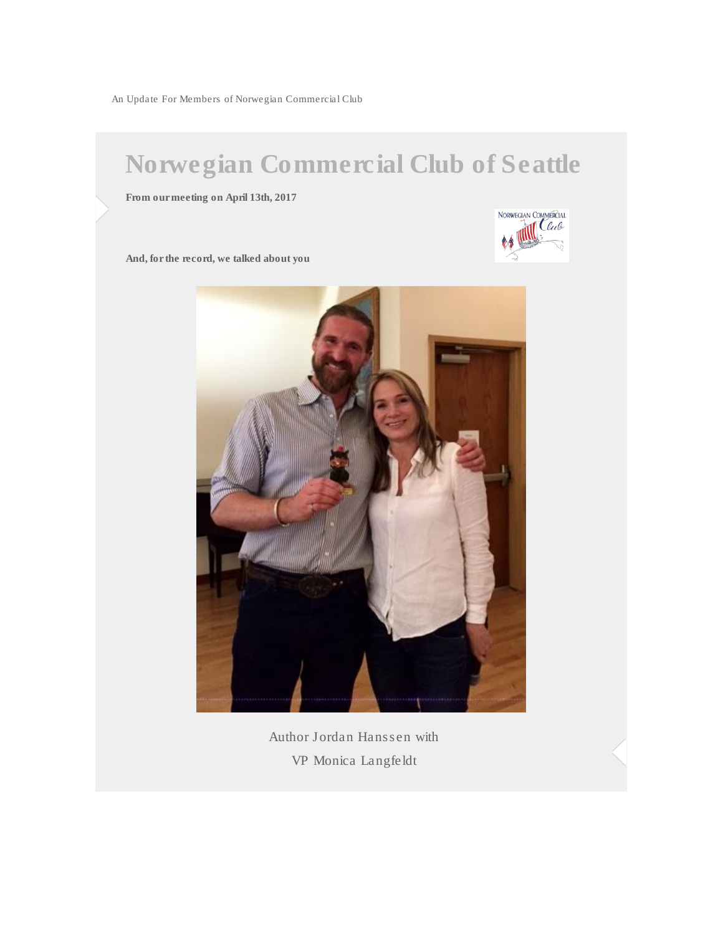An Update For Members of Norwegian Commercial Club

## Norwegian Commercial Club of Seattle

From our meeting on April 13th, 2017



And, for the record, we talked about you



Author Jordan Hanssen with VP Monica Langfeldt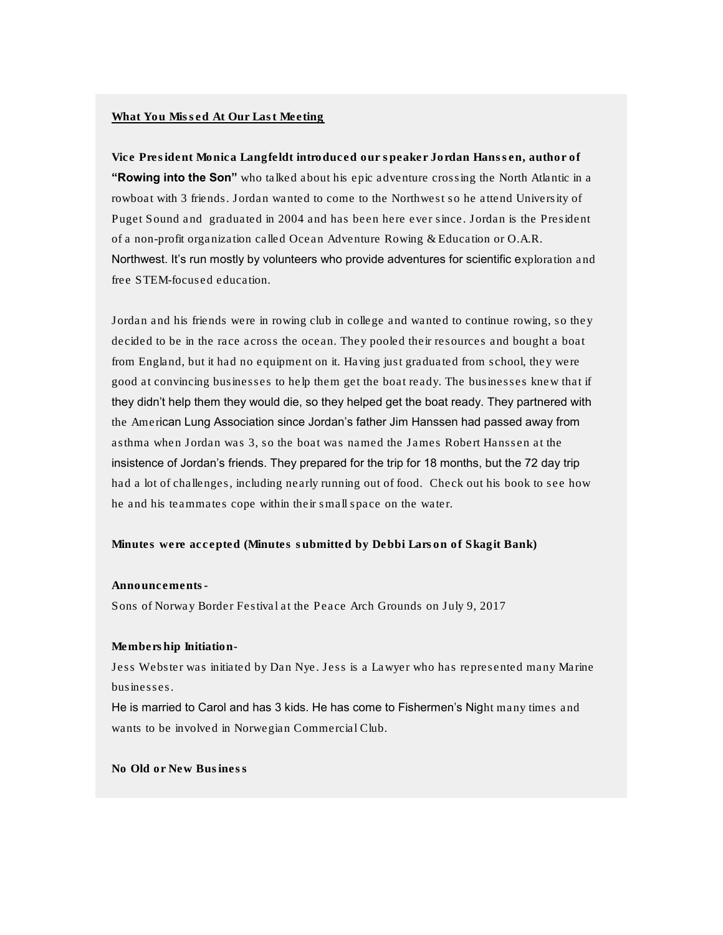## What You Missed At Our Last Meeting

Vice President Monica Langfeldt introduced our speaker Jordan Hanssen, author of "Rowing into the Son" who talked about his epic adventure crossing the North Atlantic in a rowboat with 3 friends. Jordan wanted to come to the Northwest so he attend University of Puget Sound and graduated in 2004 and has been here ever since. Jordan is the President of a non-profit organization called Ocean Adventure Rowing & Education or O.A.R. Northwest. It's run mostly by volunteers who provide adventures for scientific exploration and free STEM-focused education.

Jordan and his friends were in rowing club in college and wanted to continue rowing, so they decided to be in the race across the ocean. They pooled their resources and bought a boat from England, but it had no equipment on it. Having just graduated from school, they were good at convincing businesses to help them get the boat ready. The businesses knew that if they didn't help them they would die, so they helped get the boat ready. They partnered with the American Lung Association since Jordan's father Jim Hanssen had passed away from asthma when Jordan was 3, so the boat was named the James Robert Hanssen at the insistence of Jordan's friends. They prepared for the trip for 18 months, but the 72 day trip had a lot of challenges, including nearly running out of food. Check out his book to see how he and his teammates cope within their small space on the water.

Minutes were accepted (Minutes submitted by Debbi Larson of Skagit Bank)

## Announcements-

Sons of Norway Border Festival at the Peace Arch Grounds on July 9, 2017

Membership Initiation-

Jess Webster was initiated by Dan Nye. Jess is a Lawyer who has represented many Marine businesses.

He is married to Carol and has 3 kids. He has come to Fishermen's Night many times and wants to be involved in Norwegian Commercial Club.

No Old or New Business